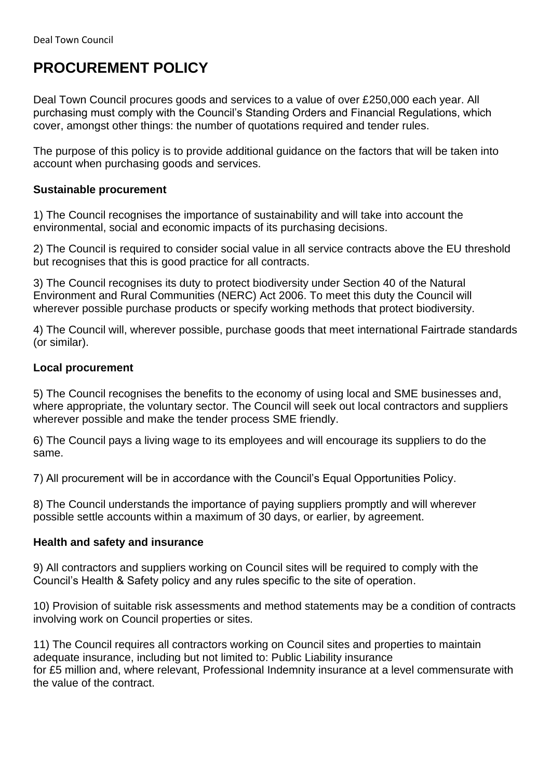# **PROCUREMENT POLICY**

Deal Town Council procures goods and services to a value of over £250,000 each year. All purchasing must comply with the Council's Standing Orders and Financial Regulations, which cover, amongst other things: the number of quotations required and tender rules.

The purpose of this policy is to provide additional guidance on the factors that will be taken into account when purchasing goods and services.

## **Sustainable procurement**

1) The Council recognises the importance of sustainability and will take into account the environmental, social and economic impacts of its purchasing decisions.

2) The Council is required to consider social value in all service contracts above the EU threshold but recognises that this is good practice for all contracts.

3) The Council recognises its duty to protect biodiversity under Section 40 of the Natural Environment and Rural Communities (NERC) Act 2006. To meet this duty the Council will wherever possible purchase products or specify working methods that protect biodiversity.

4) The Council will, wherever possible, purchase goods that meet international Fairtrade standards (or similar).

## **Local procurement**

5) The Council recognises the benefits to the economy of using local and SME businesses and, where appropriate, the voluntary sector. The Council will seek out local contractors and suppliers wherever possible and make the tender process SME friendly.

6) The Council pays a living wage to its employees and will encourage its suppliers to do the same.

7) All procurement will be in accordance with the Council's Equal Opportunities Policy.

8) The Council understands the importance of paying suppliers promptly and will wherever possible settle accounts within a maximum of 30 days, or earlier, by agreement.

#### **Health and safety and insurance**

9) All contractors and suppliers working on Council sites will be required to comply with the Council's Health & Safety policy and any rules specific to the site of operation.

10) Provision of suitable risk assessments and method statements may be a condition of contracts involving work on Council properties or sites.

11) The Council requires all contractors working on Council sites and properties to maintain adequate insurance, including but not limited to: Public Liability insurance for £5 million and, where relevant, Professional Indemnity insurance at a level commensurate with the value of the contract.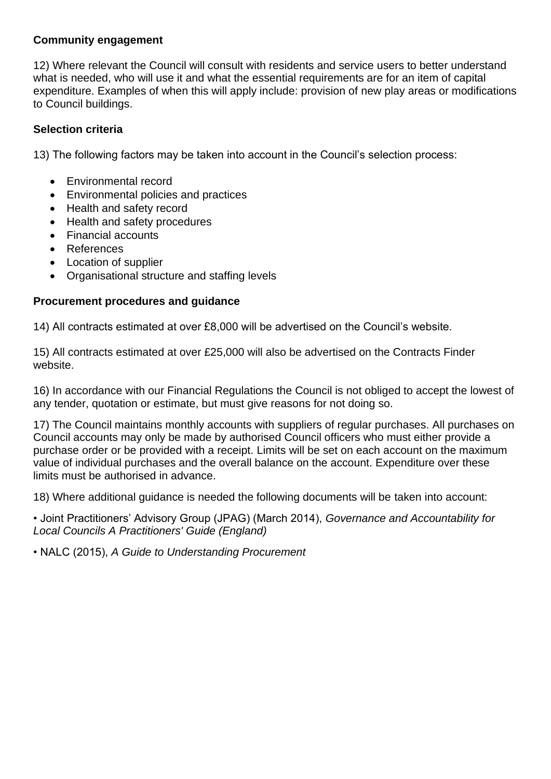## **Community engagement**

12) Where relevant the Council will consult with residents and service users to better understand what is needed, who will use it and what the essential requirements are for an item of capital expenditure. Examples of when this will apply include: provision of new play areas or modifications to Council buildings.

# **Selection criteria**

13) The following factors may be taken into account in the Council's selection process:

- Environmental record
- Environmental policies and practices
- Health and safety record
- Health and safety procedures
- Financial accounts
- References
- Location of supplier
- Organisational structure and staffing levels

## **Procurement procedures and guidance**

14) All contracts estimated at over £8,000 will be advertised on the Council's website.

15) All contracts estimated at over £25,000 will also be advertised on the Contracts Finder website.

16) In accordance with our Financial Regulations the Council is not obliged to accept the lowest of any tender, quotation or estimate, but must give reasons for not doing so.

17) The Council maintains monthly accounts with suppliers of regular purchases. All purchases on Council accounts may only be made by authorised Council officers who must either provide a purchase order or be provided with a receipt. Limits will be set on each account on the maximum value of individual purchases and the overall balance on the account. Expenditure over these limits must be authorised in advance.

18) Where additional guidance is needed the following documents will be taken into account:

• Joint Practitioners' Advisory Group (JPAG) (March 2014), *Governance and Accountability for Local Councils A Practitioners' Guide (England)* 

• NALC (2015), *A Guide to Understanding Procurement*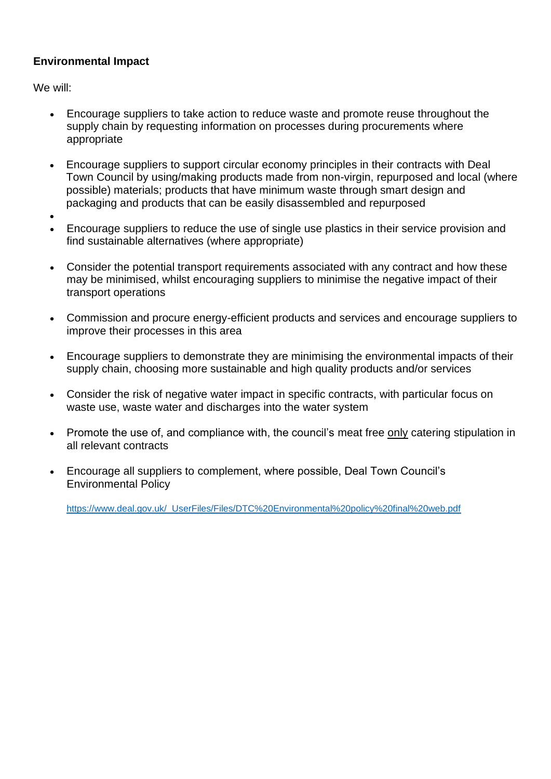# **Environmental Impact**

We will:

- Encourage suppliers to take action to reduce waste and promote reuse throughout the supply chain by requesting information on processes during procurements where appropriate
- Encourage suppliers to support circular economy principles in their contracts with Deal Town Council by using/making products made from non-virgin, repurposed and local (where possible) materials; products that have minimum waste through smart design and packaging and products that can be easily disassembled and repurposed
- •
- Encourage suppliers to reduce the use of single use plastics in their service provision and find sustainable alternatives (where appropriate)
- Consider the potential transport requirements associated with any contract and how these may be minimised, whilst encouraging suppliers to minimise the negative impact of their transport operations
- Commission and procure energy-efficient products and services and encourage suppliers to improve their processes in this area
- Encourage suppliers to demonstrate they are minimising the environmental impacts of their supply chain, choosing more sustainable and high quality products and/or services
- Consider the risk of negative water impact in specific contracts, with particular focus on waste use, waste water and discharges into the water system
- Promote the use of, and compliance with, the council's meat free only catering stipulation in all relevant contracts
- Encourage all suppliers to complement, where possible, Deal Town Council's Environmental Policy

[https://www.deal.gov.uk/\\_UserFiles/Files/DTC%20Environmental%20policy%20final%20web.pdf](https://www.deal.gov.uk/_UserFiles/Files/DTC%20Environmental%20policy%20final%20web.pdf)